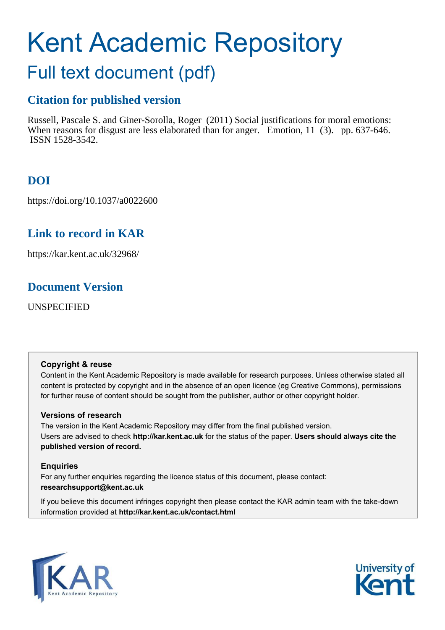# Kent Academic Repository

# Full text document (pdf)

# **Citation for published version**

Russell, Pascale S. and Giner-Sorolla, Roger (2011) Social justifications for moral emotions: When reasons for disgust are less elaborated than for anger. Emotion, 11 (3). pp. 637-646. ISSN 1528-3542.

# **DOI**

https://doi.org/10.1037/a0022600

# **Link to record in KAR**

https://kar.kent.ac.uk/32968/

# **Document Version**

UNSPECIFIED

# **Copyright & reuse**

Content in the Kent Academic Repository is made available for research purposes. Unless otherwise stated all content is protected by copyright and in the absence of an open licence (eg Creative Commons), permissions for further reuse of content should be sought from the publisher, author or other copyright holder.

# **Versions of research**

The version in the Kent Academic Repository may differ from the final published version. Users are advised to check **http://kar.kent.ac.uk** for the status of the paper. **Users should always cite the published version of record.**

# **Enquiries**

For any further enquiries regarding the licence status of this document, please contact: **researchsupport@kent.ac.uk**

If you believe this document infringes copyright then please contact the KAR admin team with the take-down information provided at **http://kar.kent.ac.uk/contact.html**



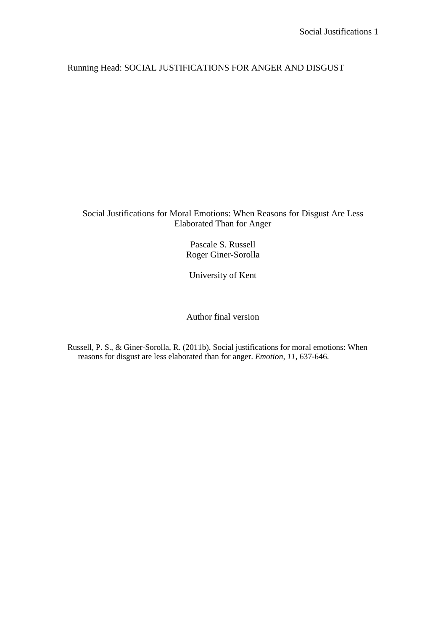# Running Head: SOCIAL JUSTIFICATIONS FOR ANGER AND DISGUST

## Social Justifications for Moral Emotions: When Reasons for Disgust Are Less Elaborated Than for Anger

Pascale S. Russell Roger Giner-Sorolla

University of Kent

Author final version

Russell, P. S., & Giner-Sorolla, R. (2011b). Social justifications for moral emotions: When reasons for disgust are less elaborated than for anger. *Emotion, 11,* 637-646.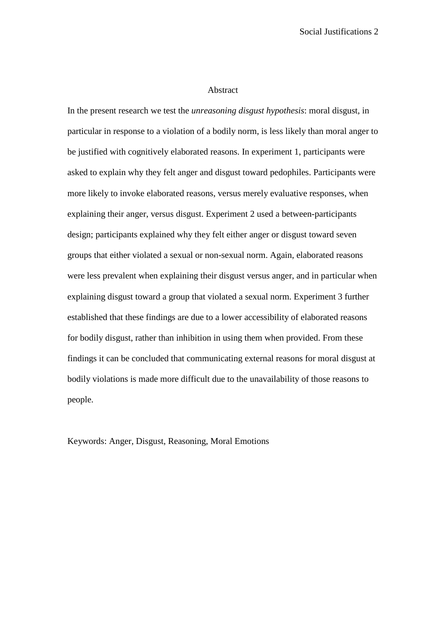#### Abstract

In the present research we test the *unreasoning disgust hypothesis*: moral disgust, in particular in response to a violation of a bodily norm, is less likely than moral anger to be justified with cognitively elaborated reasons. In experiment 1, participants were asked to explain why they felt anger and disgust toward pedophiles. Participants were more likely to invoke elaborated reasons, versus merely evaluative responses, when explaining their anger, versus disgust. Experiment 2 used a between-participants design; participants explained why they felt either anger or disgust toward seven groups that either violated a sexual or non-sexual norm. Again, elaborated reasons were less prevalent when explaining their disgust versus anger, and in particular when explaining disgust toward a group that violated a sexual norm. Experiment 3 further established that these findings are due to a lower accessibility of elaborated reasons for bodily disgust, rather than inhibition in using them when provided. From these findings it can be concluded that communicating external reasons for moral disgust at bodily violations is made more difficult due to the unavailability of those reasons to people.

Keywords: Anger, Disgust, Reasoning, Moral Emotions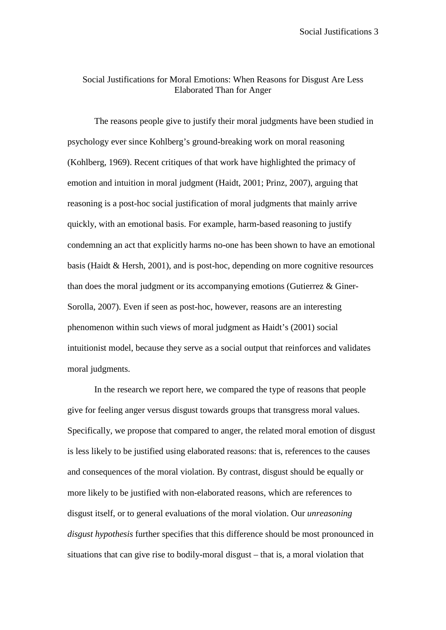# Social Justifications for Moral Emotions: When Reasons for Disgust Are Less Elaborated Than for Anger

The reasons people give to justify their moral judgments have been studied in psychology ever since Kohlberg's ground-breaking work on moral reasoning (Kohlberg, 1969). Recent critiques of that work have highlighted the primacy of emotion and intuition in moral judgment (Haidt, 2001; Prinz, 2007), arguing that reasoning is a post-hoc social justification of moral judgments that mainly arrive quickly, with an emotional basis. For example, harm-based reasoning to justify condemning an act that explicitly harms no-one has been shown to have an emotional basis (Haidt & Hersh, 2001), and is post-hoc, depending on more cognitive resources than does the moral judgment or its accompanying emotions (Gutierrez & Giner-Sorolla, 2007). Even if seen as post-hoc, however, reasons are an interesting phenomenon within such views of moral judgment as Haidt's (2001) social intuitionist model, because they serve as a social output that reinforces and validates moral judgments.

In the research we report here, we compared the type of reasons that people give for feeling anger versus disgust towards groups that transgress moral values. Specifically, we propose that compared to anger, the related moral emotion of disgust is less likely to be justified using elaborated reasons: that is, references to the causes and consequences of the moral violation. By contrast, disgust should be equally or more likely to be justified with non-elaborated reasons, which are references to disgust itself, or to general evaluations of the moral violation. Our *unreasoning disgust hypothesis* further specifies that this difference should be most pronounced in situations that can give rise to bodily-moral disgust – that is, a moral violation that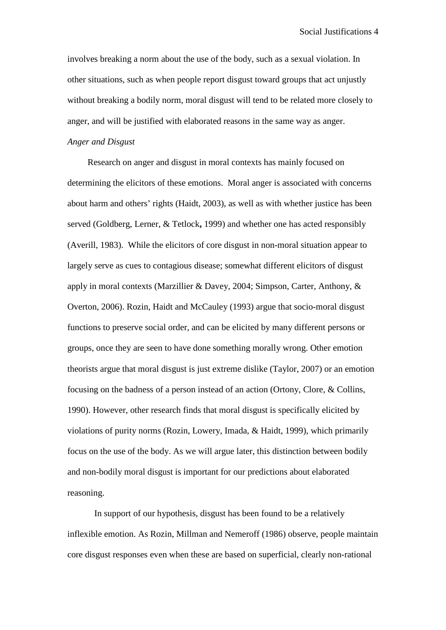involves breaking a norm about the use of the body, such as a sexual violation. In other situations, such as when people report disgust toward groups that act unjustly without breaking a bodily norm, moral disgust will tend to be related more closely to anger, and will be justified with elaborated reasons in the same way as anger.

#### *Anger and Disgust*

Research on anger and disgust in moral contexts has mainly focused on determining the elicitors of these emotions. Moral anger is associated with concerns about harm and others' rights (Haidt, 2003), as well as with whether justice has been served (Goldberg, Lerner, & Tetlock**,** 1999) and whether one has acted responsibly (Averill, 1983). While the elicitors of core disgust in non-moral situation appear to largely serve as cues to contagious disease; somewhat different elicitors of disgust apply in moral contexts (Marzillier & Davey, 2004; Simpson, Carter, Anthony, & Overton, 2006). Rozin, Haidt and McCauley (1993) argue that socio-moral disgust functions to preserve social order, and can be elicited by many different persons or groups, once they are seen to have done something morally wrong. Other emotion theorists argue that moral disgust is just extreme dislike (Taylor, 2007) or an emotion focusing on the badness of a person instead of an action (Ortony, Clore, & Collins, 1990). However, other research finds that moral disgust is specifically elicited by violations of purity norms (Rozin, Lowery, Imada, & Haidt, 1999), which primarily focus on the use of the body. As we will argue later, this distinction between bodily and non-bodily moral disgust is important for our predictions about elaborated reasoning.

In support of our hypothesis, disgust has been found to be a relatively inflexible emotion. As Rozin, Millman and Nemeroff (1986) observe, people maintain core disgust responses even when these are based on superficial, clearly non-rational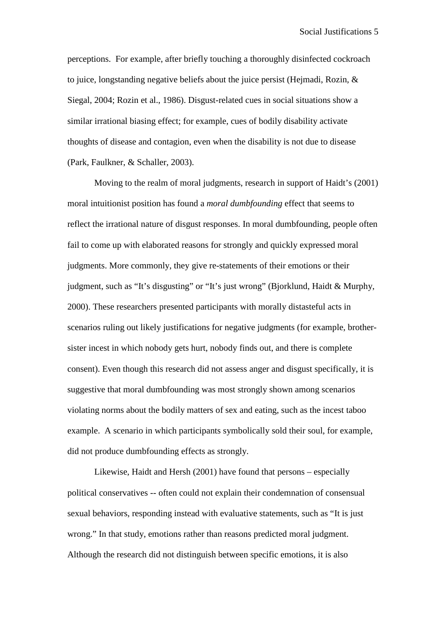perceptions. For example, after briefly touching a thoroughly disinfected cockroach to juice, longstanding negative beliefs about the juice persist (Hejmadi, Rozin, & Siegal, 2004; Rozin et al., 1986). Disgust-related cues in social situations show a similar irrational biasing effect; for example, cues of bodily disability activate thoughts of disease and contagion, even when the disability is not due to disease (Park, Faulkner, & Schaller, 2003).

Moving to the realm of moral judgments, research in support of Haidt's (2001) moral intuitionist position has found a *moral dumbfounding* effect that seems to reflect the irrational nature of disgust responses. In moral dumbfounding, people often fail to come up with elaborated reasons for strongly and quickly expressed moral judgments. More commonly, they give re-statements of their emotions or their judgment, such as "It's disgusting" or "It's just wrong" (Bjorklund, Haidt & Murphy, 2000). These researchers presented participants with morally distasteful acts in scenarios ruling out likely justifications for negative judgments (for example, brothersister incest in which nobody gets hurt, nobody finds out, and there is complete consent). Even though this research did not assess anger and disgust specifically, it is suggestive that moral dumbfounding was most strongly shown among scenarios violating norms about the bodily matters of sex and eating, such as the incest taboo example. A scenario in which participants symbolically sold their soul, for example, did not produce dumbfounding effects as strongly.

Likewise, Haidt and Hersh (2001) have found that persons – especially political conservatives -- often could not explain their condemnation of consensual sexual behaviors, responding instead with evaluative statements, such as "It is just wrong." In that study, emotions rather than reasons predicted moral judgment. Although the research did not distinguish between specific emotions, it is also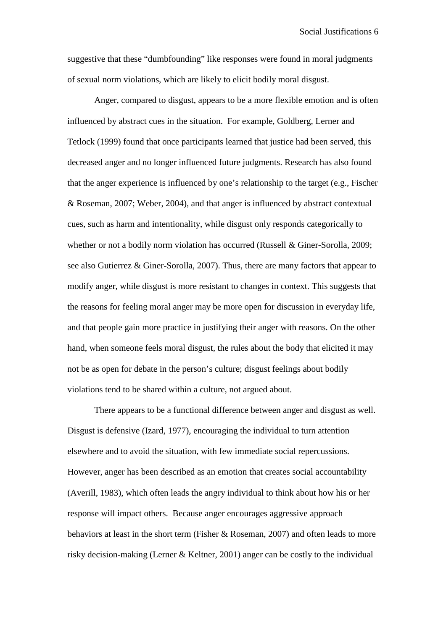suggestive that these "dumbfounding" like responses were found in moral judgments of sexual norm violations, which are likely to elicit bodily moral disgust.

Anger, compared to disgust, appears to be a more flexible emotion and is often influenced by abstract cues in the situation. For example, Goldberg, Lerner and Tetlock (1999) found that once participants learned that justice had been served, this decreased anger and no longer influenced future judgments. Research has also found that the anger experience is influenced by one's relationship to the target (e.g., Fischer & Roseman, 2007; Weber, 2004), and that anger is influenced by abstract contextual cues, such as harm and intentionality, while disgust only responds categorically to whether or not a bodily norm violation has occurred (Russell & Giner-Sorolla, 2009; see also Gutierrez & Giner-Sorolla, 2007). Thus, there are many factors that appear to modify anger, while disgust is more resistant to changes in context. This suggests that the reasons for feeling moral anger may be more open for discussion in everyday life, and that people gain more practice in justifying their anger with reasons. On the other hand, when someone feels moral disgust, the rules about the body that elicited it may not be as open for debate in the person's culture; disgust feelings about bodily violations tend to be shared within a culture, not argued about.

There appears to be a functional difference between anger and disgust as well. Disgust is defensive (Izard, 1977), encouraging the individual to turn attention elsewhere and to avoid the situation, with few immediate social repercussions. However, anger has been described as an emotion that creates social accountability (Averill, 1983), which often leads the angry individual to think about how his or her response will impact others. Because anger encourages aggressive approach behaviors at least in the short term (Fisher & Roseman, 2007) and often leads to more risky decision-making (Lerner & Keltner, 2001) anger can be costly to the individual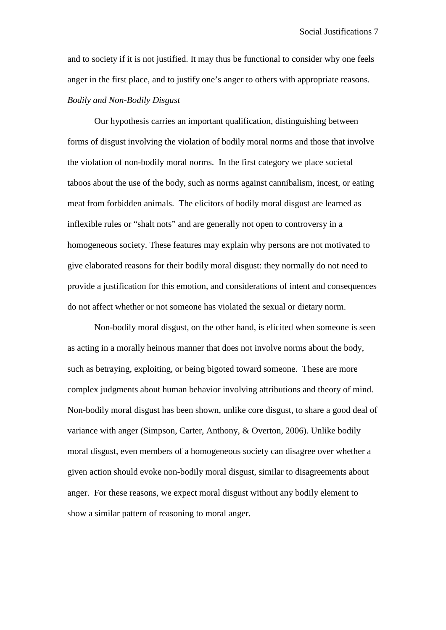and to society if it is not justified. It may thus be functional to consider why one feels anger in the first place, and to justify one's anger to others with appropriate reasons.

## *Bodily and Non-Bodily Disgust*

Our hypothesis carries an important qualification, distinguishing between forms of disgust involving the violation of bodily moral norms and those that involve the violation of non-bodily moral norms. In the first category we place societal taboos about the use of the body, such as norms against cannibalism, incest, or eating meat from forbidden animals. The elicitors of bodily moral disgust are learned as inflexible rules or "shalt nots" and are generally not open to controversy in a homogeneous society. These features may explain why persons are not motivated to give elaborated reasons for their bodily moral disgust: they normally do not need to provide a justification for this emotion, and considerations of intent and consequences do not affect whether or not someone has violated the sexual or dietary norm.

Non-bodily moral disgust, on the other hand, is elicited when someone is seen as acting in a morally heinous manner that does not involve norms about the body, such as betraying, exploiting, or being bigoted toward someone. These are more complex judgments about human behavior involving attributions and theory of mind. Non-bodily moral disgust has been shown, unlike core disgust, to share a good deal of variance with anger (Simpson, Carter, Anthony, & Overton, 2006). Unlike bodily moral disgust, even members of a homogeneous society can disagree over whether a given action should evoke non-bodily moral disgust, similar to disagreements about anger. For these reasons, we expect moral disgust without any bodily element to show a similar pattern of reasoning to moral anger.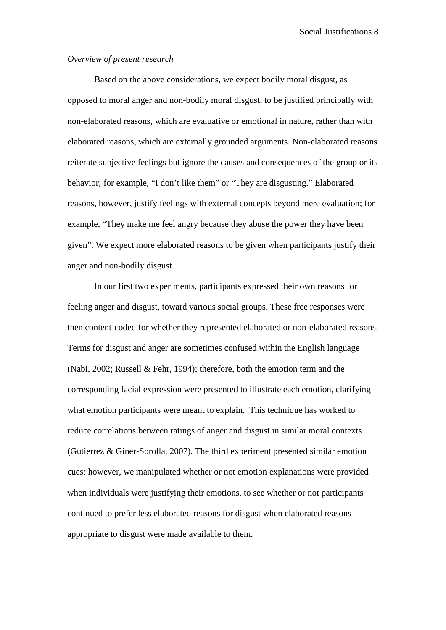#### *Overview of present research*

Based on the above considerations, we expect bodily moral disgust, as opposed to moral anger and non-bodily moral disgust, to be justified principally with non-elaborated reasons, which are evaluative or emotional in nature, rather than with elaborated reasons, which are externally grounded arguments. Non-elaborated reasons reiterate subjective feelings but ignore the causes and consequences of the group or its behavior; for example, "I don't like them" or "They are disgusting." Elaborated reasons, however, justify feelings with external concepts beyond mere evaluation; for example, "They make me feel angry because they abuse the power they have been given". We expect more elaborated reasons to be given when participants justify their anger and non-bodily disgust.

In our first two experiments, participants expressed their own reasons for feeling anger and disgust, toward various social groups. These free responses were then content-coded for whether they represented elaborated or non-elaborated reasons. Terms for disgust and anger are sometimes confused within the English language (Nabi, 2002; Russell & Fehr, 1994); therefore, both the emotion term and the corresponding facial expression were presented to illustrate each emotion, clarifying what emotion participants were meant to explain. This technique has worked to reduce correlations between ratings of anger and disgust in similar moral contexts (Gutierrez & Giner-Sorolla, 2007). The third experiment presented similar emotion cues; however, we manipulated whether or not emotion explanations were provided when individuals were justifying their emotions, to see whether or not participants continued to prefer less elaborated reasons for disgust when elaborated reasons appropriate to disgust were made available to them.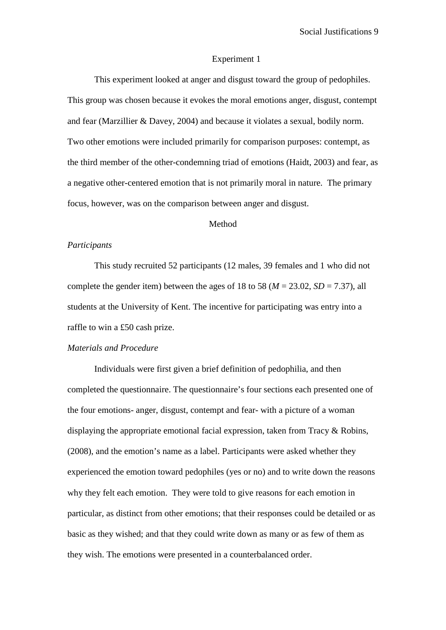#### Experiment 1

This experiment looked at anger and disgust toward the group of pedophiles. This group was chosen because it evokes the moral emotions anger, disgust, contempt and fear (Marzillier & Davey, 2004) and because it violates a sexual, bodily norm. Two other emotions were included primarily for comparison purposes: contempt, as the third member of the other-condemning triad of emotions (Haidt, 2003) and fear, as a negative other-centered emotion that is not primarily moral in nature. The primary focus, however, was on the comparison between anger and disgust.

#### Method

#### *Participants*

This study recruited 52 participants (12 males, 39 females and 1 who did not complete the gender item) between the ages of 18 to 58 ( $M = 23.02$ ,  $SD = 7.37$ ), all students at the University of Kent. The incentive for participating was entry into a raffle to win a £50 cash prize.

## *Materials and Procedure*

 Individuals were first given a brief definition of pedophilia, and then completed the questionnaire. The questionnaire's four sections each presented one of the four emotions- anger, disgust, contempt and fear- with a picture of a woman displaying the appropriate emotional facial expression, taken from Tracy & Robins, (2008), and the emotion's name as a label. Participants were asked whether they experienced the emotion toward pedophiles (yes or no) and to write down the reasons why they felt each emotion. They were told to give reasons for each emotion in particular, as distinct from other emotions; that their responses could be detailed or as basic as they wished; and that they could write down as many or as few of them as they wish. The emotions were presented in a counterbalanced order.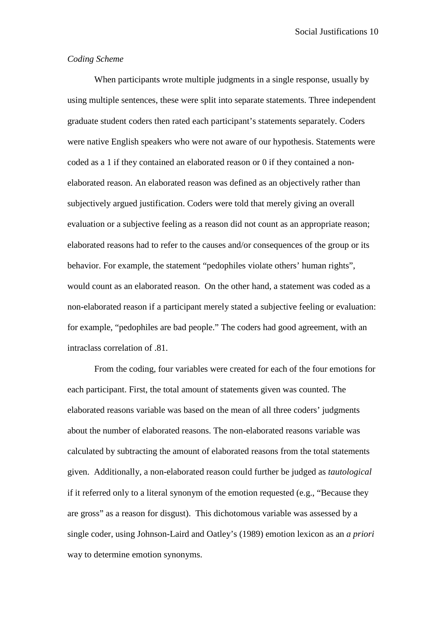#### *Coding Scheme*

When participants wrote multiple judgments in a single response, usually by using multiple sentences, these were split into separate statements. Three independent graduate student coders then rated each participant's statements separately. Coders were native English speakers who were not aware of our hypothesis. Statements were coded as a 1 if they contained an elaborated reason or 0 if they contained a nonelaborated reason. An elaborated reason was defined as an objectively rather than subjectively argued justification. Coders were told that merely giving an overall evaluation or a subjective feeling as a reason did not count as an appropriate reason; elaborated reasons had to refer to the causes and/or consequences of the group or its behavior. For example, the statement "pedophiles violate others' human rights", would count as an elaborated reason. On the other hand, a statement was coded as a non-elaborated reason if a participant merely stated a subjective feeling or evaluation: for example, "pedophiles are bad people." The coders had good agreement, with an intraclass correlation of .81.

From the coding, four variables were created for each of the four emotions for each participant. First, the total amount of statements given was counted. The elaborated reasons variable was based on the mean of all three coders' judgments about the number of elaborated reasons. The non-elaborated reasons variable was calculated by subtracting the amount of elaborated reasons from the total statements given. Additionally, a non-elaborated reason could further be judged as *tautological* if it referred only to a literal synonym of the emotion requested (e.g., "Because they are gross" as a reason for disgust). This dichotomous variable was assessed by a single coder, using Johnson-Laird and Oatley's (1989) emotion lexicon as an *a priori* way to determine emotion synonyms.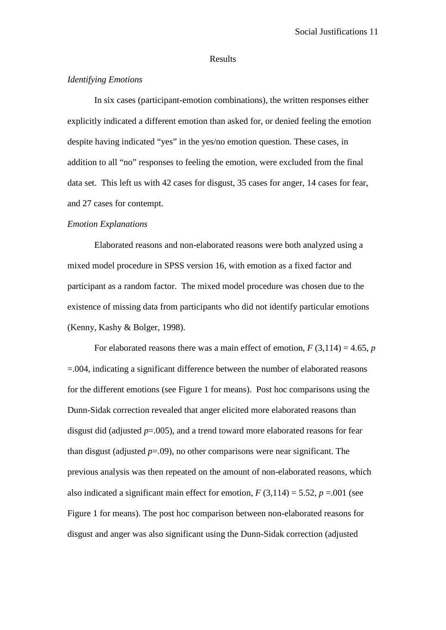#### Results

#### *Identifying Emotions*

In six cases (participant-emotion combinations), the written responses either explicitly indicated a different emotion than asked for, or denied feeling the emotion despite having indicated "yes" in the yes/no emotion question. These cases, in addition to all "no" responses to feeling the emotion, were excluded from the final data set. This left us with 42 cases for disgust, 35 cases for anger, 14 cases for fear, and 27 cases for contempt.

#### *Emotion Explanations*

Elaborated reasons and non-elaborated reasons were both analyzed using a mixed model procedure in SPSS version 16, with emotion as a fixed factor and participant as a random factor. The mixed model procedure was chosen due to the existence of missing data from participants who did not identify particular emotions (Kenny, Kashy & Bolger, 1998).

For elaborated reasons there was a main effect of emotion,  $F(3,114) = 4.65$ , *p* =.004, indicating a significant difference between the number of elaborated reasons for the different emotions (see Figure 1 for means). Post hoc comparisons using the Dunn-Sidak correction revealed that anger elicited more elaborated reasons than disgust did (adjusted  $p=0.005$ ), and a trend toward more elaborated reasons for fear than disgust (adjusted *p*=.09), no other comparisons were near significant. The previous analysis was then repeated on the amount of non-elaborated reasons, which also indicated a significant main effect for emotion,  $F(3,114) = 5.52$ ,  $p = .001$  (see Figure 1 for means). The post hoc comparison between non-elaborated reasons for disgust and anger was also significant using the Dunn-Sidak correction (adjusted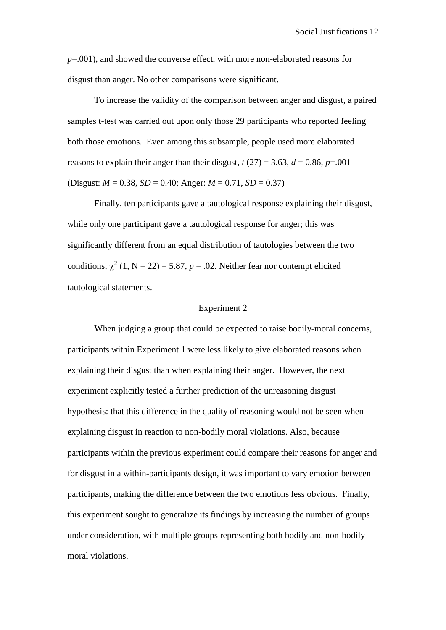*p*=.001), and showed the converse effect, with more non-elaborated reasons for disgust than anger. No other comparisons were significant.

To increase the validity of the comparison between anger and disgust, a paired samples t-test was carried out upon only those 29 participants who reported feeling both those emotions. Even among this subsample, people used more elaborated reasons to explain their anger than their disgust,  $t(27) = 3.63$ ,  $d = 0.86$ ,  $p = .001$ (Disgust:  $M = 0.38$ ,  $SD = 0.40$ ; Anger:  $M = 0.71$ ,  $SD = 0.37$ )

Finally, ten participants gave a tautological response explaining their disgust, while only one participant gave a tautological response for anger; this was significantly different from an equal distribution of tautologies between the two conditions,  $\chi^2$  (1, N = 22) = 5.87, p = .02. Neither fear nor contempt elicited tautological statements.

#### Experiment 2

When judging a group that could be expected to raise bodily-moral concerns, participants within Experiment 1 were less likely to give elaborated reasons when explaining their disgust than when explaining their anger. However, the next experiment explicitly tested a further prediction of the unreasoning disgust hypothesis: that this difference in the quality of reasoning would not be seen when explaining disgust in reaction to non-bodily moral violations. Also, because participants within the previous experiment could compare their reasons for anger and for disgust in a within-participants design, it was important to vary emotion between participants, making the difference between the two emotions less obvious. Finally, this experiment sought to generalize its findings by increasing the number of groups under consideration, with multiple groups representing both bodily and non-bodily moral violations.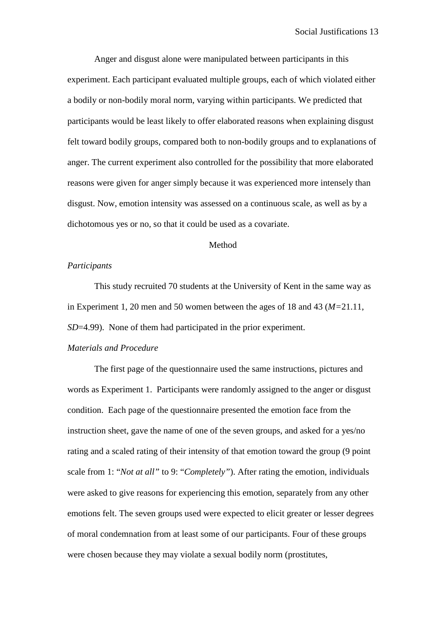Anger and disgust alone were manipulated between participants in this experiment. Each participant evaluated multiple groups, each of which violated either a bodily or non-bodily moral norm, varying within participants. We predicted that participants would be least likely to offer elaborated reasons when explaining disgust felt toward bodily groups, compared both to non-bodily groups and to explanations of anger. The current experiment also controlled for the possibility that more elaborated reasons were given for anger simply because it was experienced more intensely than disgust. Now, emotion intensity was assessed on a continuous scale, as well as by a dichotomous yes or no, so that it could be used as a covariate.

#### Method

#### *Participants*

This study recruited 70 students at the University of Kent in the same way as in Experiment 1, 20 men and 50 women between the ages of 18 and 43 (*M=*21.11, *SD*=4.99). None of them had participated in the prior experiment.

#### *Materials and Procedure*

The first page of the questionnaire used the same instructions, pictures and words as Experiment 1. Participants were randomly assigned to the anger or disgust condition. Each page of the questionnaire presented the emotion face from the instruction sheet, gave the name of one of the seven groups, and asked for a yes/no rating and a scaled rating of their intensity of that emotion toward the group (9 point scale from 1: "*Not at all"* to 9: "*Completely"*). After rating the emotion, individuals were asked to give reasons for experiencing this emotion, separately from any other emotions felt. The seven groups used were expected to elicit greater or lesser degrees of moral condemnation from at least some of our participants. Four of these groups were chosen because they may violate a sexual bodily norm (prostitutes,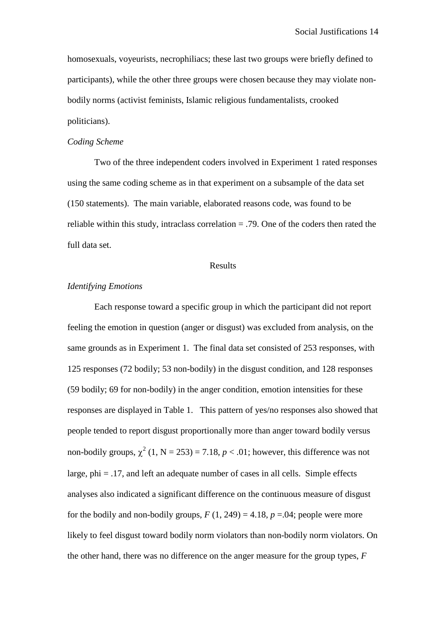homosexuals, voyeurists, necrophiliacs; these last two groups were briefly defined to participants), while the other three groups were chosen because they may violate nonbodily norms (activist feminists, Islamic religious fundamentalists, crooked politicians).

#### *Coding Scheme*

Two of the three independent coders involved in Experiment 1 rated responses using the same coding scheme as in that experiment on a subsample of the data set (150 statements). The main variable, elaborated reasons code, was found to be reliable within this study, intraclass correlation  $= .79$ . One of the coders then rated the full data set.

#### Results

#### *Identifying Emotions*

 Each response toward a specific group in which the participant did not report feeling the emotion in question (anger or disgust) was excluded from analysis, on the same grounds as in Experiment 1. The final data set consisted of 253 responses, with 125 responses (72 bodily; 53 non-bodily) in the disgust condition, and 128 responses (59 bodily; 69 for non-bodily) in the anger condition, emotion intensities for these responses are displayed in Table 1. This pattern of yes/no responses also showed that people tended to report disgust proportionally more than anger toward bodily versus non-bodily groups,  $\chi^2$  (1, N = 253) = 7.18, *p* < .01; however, this difference was not large,  $phi = .17$ , and left an adequate number of cases in all cells. Simple effects analyses also indicated a significant difference on the continuous measure of disgust for the bodily and non-bodily groups,  $F(1, 249) = 4.18$ ,  $p = .04$ ; people were more likely to feel disgust toward bodily norm violators than non-bodily norm violators. On the other hand, there was no difference on the anger measure for the group types, *F*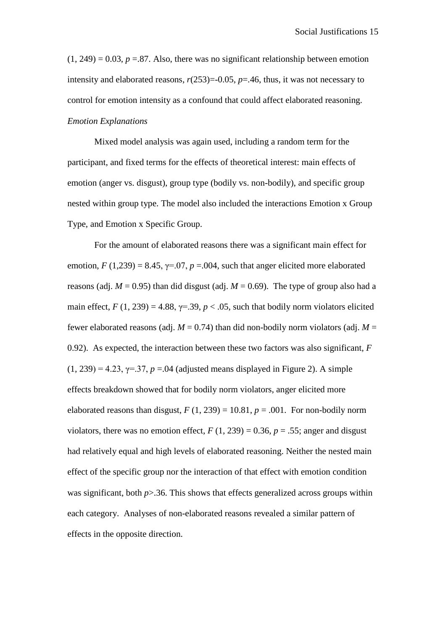$(1, 249) = 0.03$ ,  $p = 0.87$ . Also, there was no significant relationship between emotion intensity and elaborated reasons,  $r(253)=0.05$ ,  $p=.46$ , thus, it was not necessary to control for emotion intensity as a confound that could affect elaborated reasoning. *Emotion Explanations* 

Mixed model analysis was again used, including a random term for the participant, and fixed terms for the effects of theoretical interest: main effects of emotion (anger vs. disgust), group type (bodily vs. non-bodily), and specific group nested within group type. The model also included the interactions Emotion x Group Type, and Emotion x Specific Group.

For the amount of elaborated reasons there was a significant main effect for emotion,  $F(1,239) = 8.45$ ,  $\gamma = .07$ ,  $p = .004$ , such that anger elicited more elaborated reasons (adj.  $M = 0.95$ ) than did disgust (adj.  $M = 0.69$ ). The type of group also had a main effect,  $F(1, 239) = 4.88$ ,  $\gamma = 39$ ,  $p < .05$ , such that bodily norm violators elicited fewer elaborated reasons (adj.  $M = 0.74$ ) than did non-bodily norm violators (adj.  $M =$ 0.92). As expected, the interaction between these two factors was also significant, *F*  $(1, 239) = 4.23$ ,  $\gamma = .37$ ,  $p = .04$  (adjusted means displayed in Figure 2). A simple effects breakdown showed that for bodily norm violators, anger elicited more elaborated reasons than disgust,  $F(1, 239) = 10.81$ ,  $p = .001$ . For non-bodily norm violators, there was no emotion effect,  $F(1, 239) = 0.36$ ,  $p = .55$ ; anger and disgust had relatively equal and high levels of elaborated reasoning. Neither the nested main effect of the specific group nor the interaction of that effect with emotion condition was significant, both  $p > 0.36$ . This shows that effects generalized across groups within each category. Analyses of non-elaborated reasons revealed a similar pattern of effects in the opposite direction.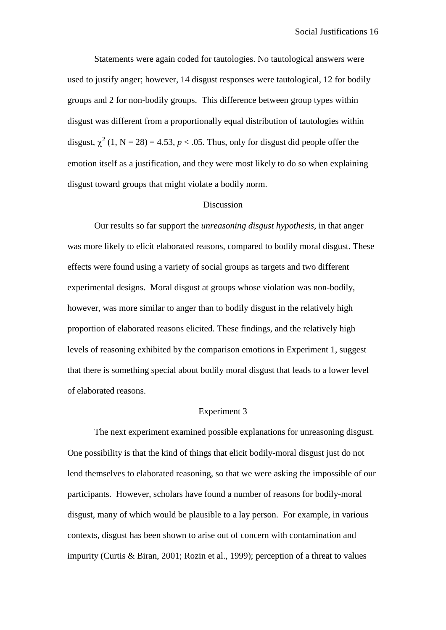Statements were again coded for tautologies. No tautological answers were used to justify anger; however, 14 disgust responses were tautological, 12 for bodily groups and 2 for non-bodily groups. This difference between group types within disgust was different from a proportionally equal distribution of tautologies within disgust,  $\chi^2$  (1, N = 28) = 4.53, *p* < .05. Thus, only for disgust did people offer the emotion itself as a justification, and they were most likely to do so when explaining disgust toward groups that might violate a bodily norm.

#### Discussion

Our results so far support the *unreasoning disgust hypothesis*, in that anger was more likely to elicit elaborated reasons, compared to bodily moral disgust. These effects were found using a variety of social groups as targets and two different experimental designs. Moral disgust at groups whose violation was non-bodily, however, was more similar to anger than to bodily disgust in the relatively high proportion of elaborated reasons elicited. These findings, and the relatively high levels of reasoning exhibited by the comparison emotions in Experiment 1, suggest that there is something special about bodily moral disgust that leads to a lower level of elaborated reasons.

#### Experiment 3

The next experiment examined possible explanations for unreasoning disgust. One possibility is that the kind of things that elicit bodily-moral disgust just do not lend themselves to elaborated reasoning, so that we were asking the impossible of our participants. However, scholars have found a number of reasons for bodily-moral disgust, many of which would be plausible to a lay person. For example, in various contexts, disgust has been shown to arise out of concern with contamination and impurity (Curtis & Biran, 2001; Rozin et al., 1999); perception of a threat to values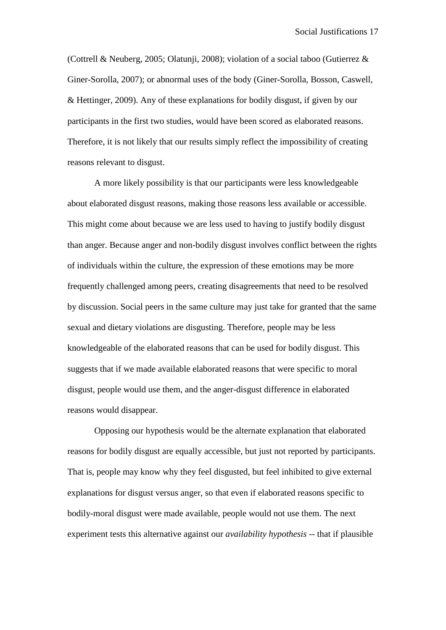(Cottrell & Neuberg, 2005; Olatunji, 2008); violation of a social taboo (Gutierrez & Giner-Sorolla, 2007); or abnormal uses of the body (Giner-Sorolla, Bosson, Caswell, & Hettinger, 2009). Any of these explanations for bodily disgust, if given by our participants in the first two studies, would have been scored as elaborated reasons. Therefore, it is not likely that our results simply reflect the impossibility of creating reasons relevant to disgust.

A more likely possibility is that our participants were less knowledgeable about elaborated disgust reasons, making those reasons less available or accessible. This might come about because we are less used to having to justify bodily disgust than anger. Because anger and non-bodily disgust involves conflict between the rights of individuals within the culture, the expression of these emotions may be more frequently challenged among peers, creating disagreements that need to be resolved by discussion. Social peers in the same culture may just take for granted that the same sexual and dietary violations are disgusting. Therefore, people may be less knowledgeable of the elaborated reasons that can be used for bodily disgust. This suggests that if we made available elaborated reasons that were specific to moral disgust, people would use them, and the anger-disgust difference in elaborated reasons would disappear.

Opposing our hypothesis would be the alternate explanation that elaborated reasons for bodily disgust are equally accessible, but just not reported by participants. That is, people may know why they feel disgusted, but feel inhibited to give external explanations for disgust versus anger, so that even if elaborated reasons specific to bodily-moral disgust were made available, people would not use them. The next experiment tests this alternative against our *availability hypothesis* -- that if plausible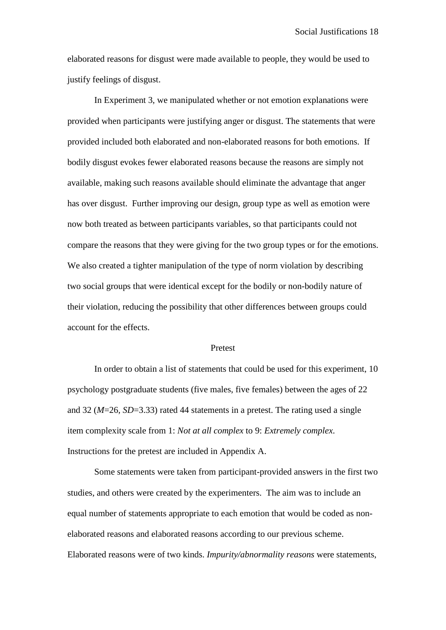elaborated reasons for disgust were made available to people, they would be used to justify feelings of disgust.

In Experiment 3, we manipulated whether or not emotion explanations were provided when participants were justifying anger or disgust. The statements that were provided included both elaborated and non-elaborated reasons for both emotions. If bodily disgust evokes fewer elaborated reasons because the reasons are simply not available, making such reasons available should eliminate the advantage that anger has over disgust. Further improving our design, group type as well as emotion were now both treated as between participants variables, so that participants could not compare the reasons that they were giving for the two group types or for the emotions. We also created a tighter manipulation of the type of norm violation by describing two social groups that were identical except for the bodily or non-bodily nature of their violation, reducing the possibility that other differences between groups could account for the effects.

#### Pretest

In order to obtain a list of statements that could be used for this experiment, 10 psychology postgraduate students (five males, five females) between the ages of 22 and 32 (*M*=26*, SD*=3.33) rated 44 statements in a pretest. The rating used a single item complexity scale from 1: *Not at all complex* to 9: *Extremely complex*. Instructions for the pretest are included in Appendix A.

Some statements were taken from participant-provided answers in the first two studies, and others were created by the experimenters. The aim was to include an equal number of statements appropriate to each emotion that would be coded as nonelaborated reasons and elaborated reasons according to our previous scheme. Elaborated reasons were of two kinds. *Impurity/abnormality reasons* were statements,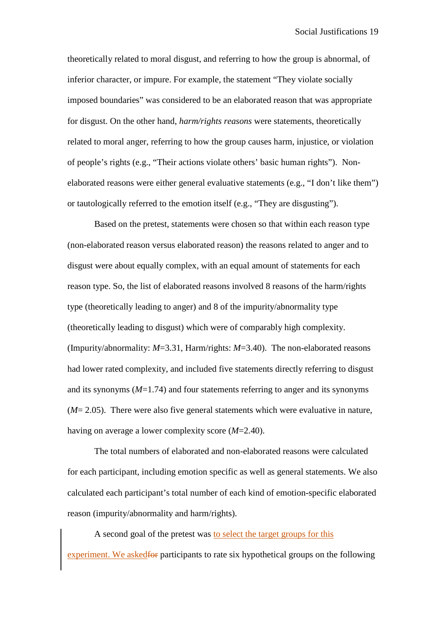theoretically related to moral disgust, and referring to how the group is abnormal, of inferior character, or impure. For example, the statement "They violate socially imposed boundaries" was considered to be an elaborated reason that was appropriate for disgust. On the other hand, *harm/rights reasons* were statements, theoretically related to moral anger, referring to how the group causes harm, injustice, or violation of people's rights (e.g., "Their actions violate others' basic human rights"). Nonelaborated reasons were either general evaluative statements (e.g., "I don't like them") or tautologically referred to the emotion itself (e.g., "They are disgusting").

Based on the pretest, statements were chosen so that within each reason type (non-elaborated reason versus elaborated reason) the reasons related to anger and to disgust were about equally complex, with an equal amount of statements for each reason type. So, the list of elaborated reasons involved 8 reasons of the harm/rights type (theoretically leading to anger) and 8 of the impurity/abnormality type (theoretically leading to disgust) which were of comparably high complexity. (Impurity/abnormality: *M*=3.31, Harm/rights: *M*=3.40). The non-elaborated reasons had lower rated complexity, and included five statements directly referring to disgust and its synonyms (*M*=1.74) and four statements referring to anger and its synonyms (*M*= 2.05). There were also five general statements which were evaluative in nature, having on average a lower complexity score (*M*=2.40).

The total numbers of elaborated and non-elaborated reasons were calculated for each participant, including emotion specific as well as general statements. We also calculated each participant's total number of each kind of emotion-specific elaborated reason (impurity/abnormality and harm/rights).

A second goal of the pretest was to select the target groups for this experiment. We askedfor participants to rate six hypothetical groups on the following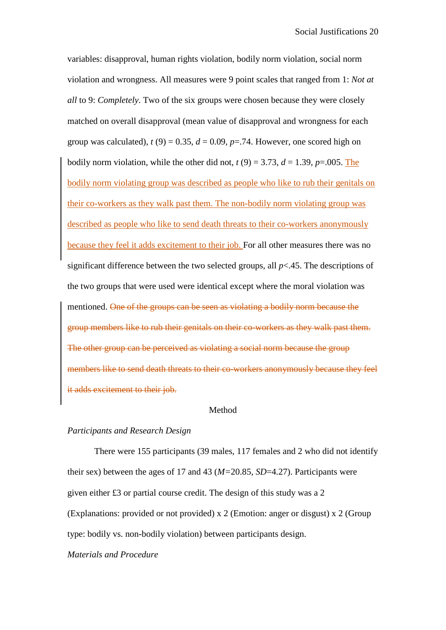variables: disapproval, human rights violation, bodily norm violation, social norm violation and wrongness. All measures were 9 point scales that ranged from 1: *Not at all* to 9: *Completely*. Two of the six groups were chosen because they were closely matched on overall disapproval (mean value of disapproval and wrongness for each group was calculated),  $t(9) = 0.35$ ,  $d = 0.09$ ,  $p = .74$ . However, one scored high on bodily norm violation, while the other did not,  $t(9) = 3.73$ ,  $d = 1.39$ ,  $p = .005$ . The bodily norm violating group was described as people who like to rub their genitals on their co-workers as they walk past them. The non-bodily norm violating group was described as people who like to send death threats to their co-workers anonymously because they feel it adds excitement to their job. For all other measures there was no significant difference between the two selected groups, all *p*<.45. The descriptions of the two groups that were used were identical except where the moral violation was mentioned. One of the groups can be seen as violating a bodily norm because the group members like to rub their genitals on their co-workers as they walk past them. The other group can be perceived as violating a social norm because the group members like to send death threats to their co-workers anonymously because they feel it adds excitement to their job.

#### Method

#### *Participants and Research Design*

There were 155 participants (39 males, 117 females and 2 who did not identify their sex) between the ages of 17 and 43 (*M=*20.85, *SD*=4.27). Participants were given either £3 or partial course credit. The design of this study was a 2 (Explanations: provided or not provided) x 2 (Emotion: anger or disgust) x 2 (Group type: bodily vs. non-bodily violation) between participants design.

## *Materials and Procedure*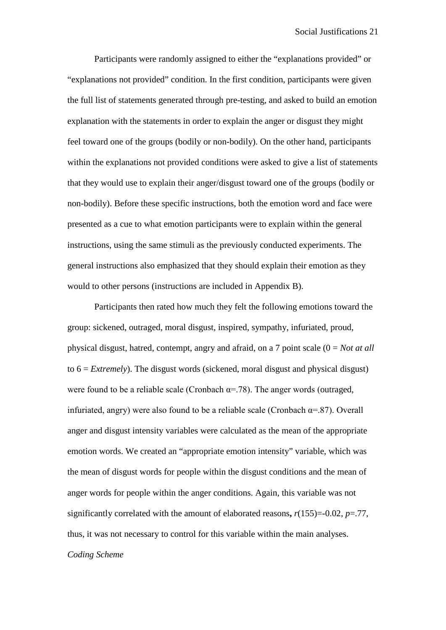Participants were randomly assigned to either the "explanations provided" or "explanations not provided" condition. In the first condition, participants were given the full list of statements generated through pre-testing, and asked to build an emotion explanation with the statements in order to explain the anger or disgust they might feel toward one of the groups (bodily or non-bodily). On the other hand, participants within the explanations not provided conditions were asked to give a list of statements that they would use to explain their anger/disgust toward one of the groups (bodily or non-bodily). Before these specific instructions, both the emotion word and face were presented as a cue to what emotion participants were to explain within the general instructions, using the same stimuli as the previously conducted experiments. The general instructions also emphasized that they should explain their emotion as they would to other persons (instructions are included in Appendix B).

Participants then rated how much they felt the following emotions toward the group: sickened, outraged, moral disgust, inspired, sympathy, infuriated, proud, physical disgust, hatred, contempt, angry and afraid, on a 7 point scale (0 = *Not at all* to 6 = *Extremely*). The disgust words (sickened, moral disgust and physical disgust) were found to be a reliable scale (Cronbach  $\alpha$ =.78). The anger words (outraged, infuriated, angry) were also found to be a reliable scale (Cronbach  $\alpha$ =.87). Overall anger and disgust intensity variables were calculated as the mean of the appropriate emotion words. We created an "appropriate emotion intensity" variable, which was the mean of disgust words for people within the disgust conditions and the mean of anger words for people within the anger conditions. Again, this variable was not significantly correlated with the amount of elaborated reasons**,** *r*(155)=-0.02, *p*=.77, thus, it was not necessary to control for this variable within the main analyses. *Coding Scheme*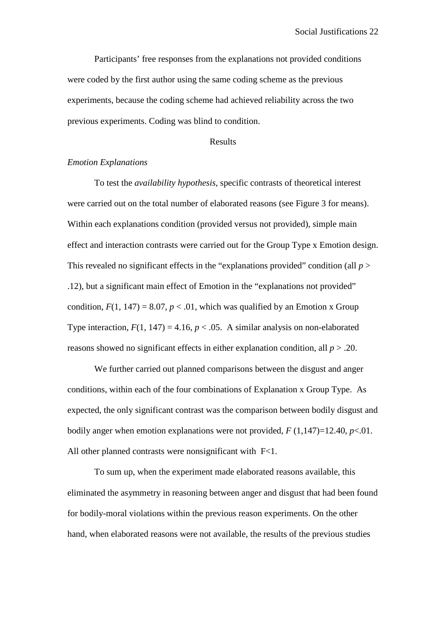Participants' free responses from the explanations not provided conditions were coded by the first author using the same coding scheme as the previous experiments, because the coding scheme had achieved reliability across the two previous experiments. Coding was blind to condition.

#### Results

## *Emotion Explanations*

To test the *availability hypothesis*, specific contrasts of theoretical interest were carried out on the total number of elaborated reasons (see Figure 3 for means). Within each explanations condition (provided versus not provided), simple main effect and interaction contrasts were carried out for the Group Type x Emotion design. This revealed no significant effects in the "explanations provided" condition (all *p* > .12), but a significant main effect of Emotion in the "explanations not provided" condition,  $F(1, 147) = 8.07$ ,  $p < .01$ , which was qualified by an Emotion x Group Type interaction,  $F(1, 147) = 4.16$ ,  $p < .05$ . A similar analysis on non-elaborated reasons showed no significant effects in either explanation condition, all *p* > .20.

We further carried out planned comparisons between the disgust and anger conditions, within each of the four combinations of Explanation x Group Type. As expected, the only significant contrast was the comparison between bodily disgust and bodily anger when emotion explanations were not provided,  $F(1,147)=12.40$ ,  $p<.01$ . All other planned contrasts were nonsignificant with F<1.

To sum up, when the experiment made elaborated reasons available, this eliminated the asymmetry in reasoning between anger and disgust that had been found for bodily-moral violations within the previous reason experiments. On the other hand, when elaborated reasons were not available, the results of the previous studies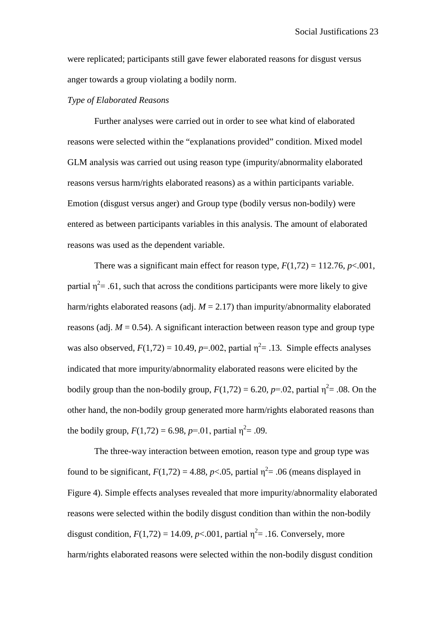were replicated; participants still gave fewer elaborated reasons for disgust versus anger towards a group violating a bodily norm.

#### *Type of Elaborated Reasons*

Further analyses were carried out in order to see what kind of elaborated reasons were selected within the "explanations provided" condition. Mixed model GLM analysis was carried out using reason type (impurity/abnormality elaborated reasons versus harm/rights elaborated reasons) as a within participants variable. Emotion (disgust versus anger) and Group type (bodily versus non-bodily) were entered as between participants variables in this analysis. The amount of elaborated reasons was used as the dependent variable.

There was a significant main effect for reason type,  $F(1,72) = 112.76$ ,  $p < .001$ , partial  $\eta^2$  = .61, such that across the conditions participants were more likely to give harm/rights elaborated reasons (adj.  $M = 2.17$ ) than impurity/abnormality elaborated reasons (adj.  $M = 0.54$ ). A significant interaction between reason type and group type was also observed,  $F(1,72) = 10.49$ ,  $p=0.002$ , partial  $\eta^2 = .13$ . Simple effects analyses indicated that more impurity/abnormality elaborated reasons were elicited by the bodily group than the non-bodily group,  $F(1,72) = 6.20$ ,  $p=0.02$ , partial  $\eta^2 = .08$ . On the other hand, the non-bodily group generated more harm/rights elaborated reasons than the bodily group,  $F(1,72) = 6.98$ ,  $p=0.01$ , partial  $\eta^2 = .09$ .

The three-way interaction between emotion, reason type and group type was found to be significant,  $F(1,72) = 4.88$ ,  $p < .05$ , partial  $\eta^2 = .06$  (means displayed in Figure 4). Simple effects analyses revealed that more impurity/abnormality elaborated reasons were selected within the bodily disgust condition than within the non-bodily disgust condition,  $F(1,72) = 14.09$ ,  $p < .001$ , partial  $\eta^2 = .16$ . Conversely, more harm/rights elaborated reasons were selected within the non-bodily disgust condition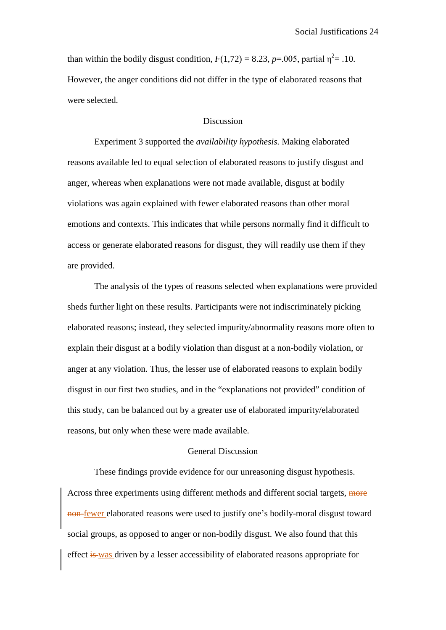than within the bodily disgust condition,  $F(1,72) = 8.23$ ,  $p=0.005$ , partial  $\eta^2 = .10$ . However, the anger conditions did not differ in the type of elaborated reasons that were selected.

## Discussion

Experiment 3 supported the *availability hypothesis.* Making elaborated reasons available led to equal selection of elaborated reasons to justify disgust and anger, whereas when explanations were not made available, disgust at bodily violations was again explained with fewer elaborated reasons than other moral emotions and contexts. This indicates that while persons normally find it difficult to access or generate elaborated reasons for disgust, they will readily use them if they are provided.

The analysis of the types of reasons selected when explanations were provided sheds further light on these results. Participants were not indiscriminately picking elaborated reasons; instead, they selected impurity/abnormality reasons more often to explain their disgust at a bodily violation than disgust at a non-bodily violation, or anger at any violation. Thus, the lesser use of elaborated reasons to explain bodily disgust in our first two studies, and in the "explanations not provided" condition of this study, can be balanced out by a greater use of elaborated impurity/elaborated reasons, but only when these were made available.

#### General Discussion

These findings provide evidence for our unreasoning disgust hypothesis. Across three experiments using different methods and different social targets, more non-fewer elaborated reasons were used to justify one's bodily-moral disgust toward social groups, as opposed to anger or non-bodily disgust. We also found that this effect is was driven by a lesser accessibility of elaborated reasons appropriate for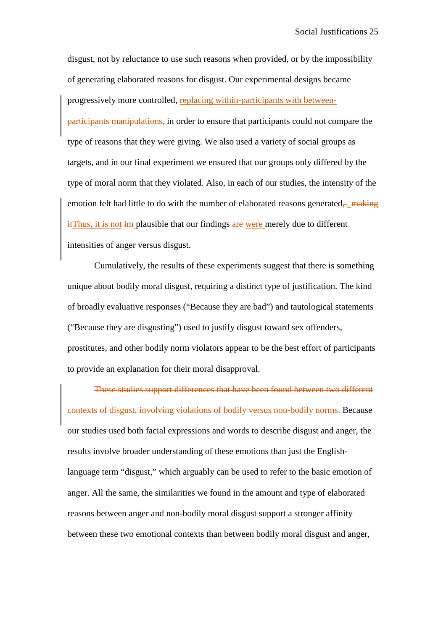disgust, not by reluctance to use such reasons when provided, or by the impossibility of generating elaborated reasons for disgust. Our experimental designs became progressively more controlled, replacing within-participants with betweenparticipants manipulations, in order to ensure that participants could not compare the type of reasons that they were giving. We also used a variety of social groups as targets, and in our final experiment we ensured that our groups only differed by the type of moral norm that they violated. Also, in each of our studies, the intensity of the emotion felt had little to do with the number of elaborated reasons generated,  $\frac{1}{2}$  making  $\frac{d}{dt}$  it is not  $\frac{d}{dt}$  plausible that our findings  $\frac{d}{dt}$  were merely due to different intensities of anger versus disgust.

Cumulatively, the results of these experiments suggest that there is something unique about bodily moral disgust, requiring a distinct type of justification. The kind of broadly evaluative responses ("Because they are bad") and tautological statements ("Because they are disgusting") used to justify disgust toward sex offenders, prostitutes, and other bodily norm violators appear to be the best effort of participants to provide an explanation for their moral disapproval.

These studies support differences that have been found between two different contexts of disgust, involving violations of bodily versus non-bodily norms. Because our studies used both facial expressions and words to describe disgust and anger, the results involve broader understanding of these emotions than just the Englishlanguage term "disgust," which arguably can be used to refer to the basic emotion of anger. All the same, the similarities we found in the amount and type of elaborated reasons between anger and non-bodily moral disgust support a stronger affinity between these two emotional contexts than between bodily moral disgust and anger,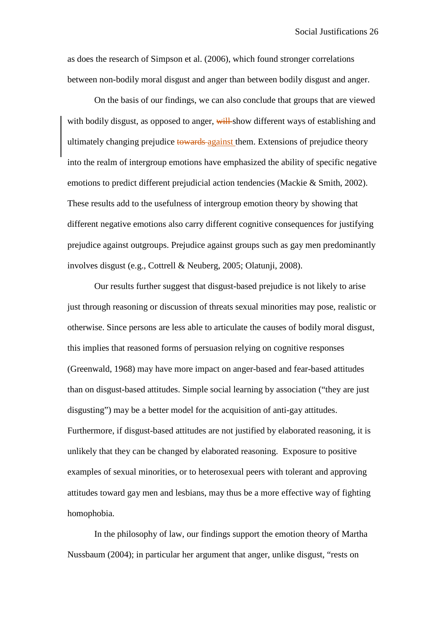as does the research of Simpson et al. (2006), which found stronger correlations between non-bodily moral disgust and anger than between bodily disgust and anger.

On the basis of our findings, we can also conclude that groups that are viewed with bodily disgust, as opposed to anger, will show different ways of establishing and ultimately changing prejudice towards against them. Extensions of prejudice theory into the realm of intergroup emotions have emphasized the ability of specific negative emotions to predict different prejudicial action tendencies (Mackie & Smith, 2002). These results add to the usefulness of intergroup emotion theory by showing that different negative emotions also carry different cognitive consequences for justifying prejudice against outgroups. Prejudice against groups such as gay men predominantly involves disgust (e.g., Cottrell & Neuberg, 2005; Olatunji, 2008).

Our results further suggest that disgust-based prejudice is not likely to arise just through reasoning or discussion of threats sexual minorities may pose, realistic or otherwise. Since persons are less able to articulate the causes of bodily moral disgust, this implies that reasoned forms of persuasion relying on cognitive responses (Greenwald, 1968) may have more impact on anger-based and fear-based attitudes than on disgust-based attitudes. Simple social learning by association ("they are just disgusting") may be a better model for the acquisition of anti-gay attitudes. Furthermore, if disgust-based attitudes are not justified by elaborated reasoning, it is unlikely that they can be changed by elaborated reasoning. Exposure to positive examples of sexual minorities, or to heterosexual peers with tolerant and approving attitudes toward gay men and lesbians, may thus be a more effective way of fighting homophobia.

In the philosophy of law, our findings support the emotion theory of Martha Nussbaum (2004); in particular her argument that anger, unlike disgust, "rests on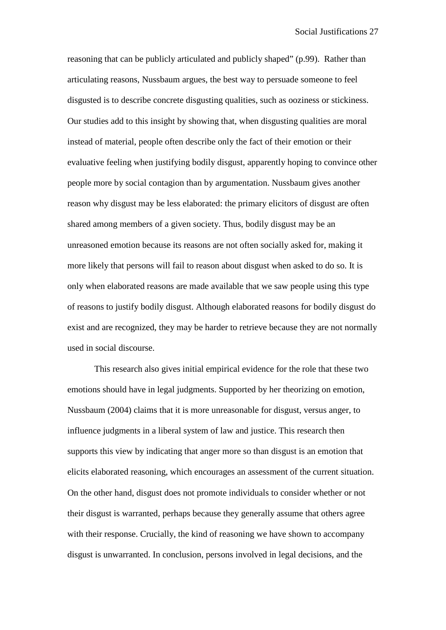reasoning that can be publicly articulated and publicly shaped" (p.99). Rather than articulating reasons, Nussbaum argues, the best way to persuade someone to feel disgusted is to describe concrete disgusting qualities, such as ooziness or stickiness. Our studies add to this insight by showing that, when disgusting qualities are moral instead of material, people often describe only the fact of their emotion or their evaluative feeling when justifying bodily disgust, apparently hoping to convince other people more by social contagion than by argumentation. Nussbaum gives another reason why disgust may be less elaborated: the primary elicitors of disgust are often shared among members of a given society. Thus, bodily disgust may be an unreasoned emotion because its reasons are not often socially asked for, making it more likely that persons will fail to reason about disgust when asked to do so. It is only when elaborated reasons are made available that we saw people using this type of reasons to justify bodily disgust. Although elaborated reasons for bodily disgust do exist and are recognized, they may be harder to retrieve because they are not normally used in social discourse.

This research also gives initial empirical evidence for the role that these two emotions should have in legal judgments. Supported by her theorizing on emotion, Nussbaum (2004) claims that it is more unreasonable for disgust, versus anger, to influence judgments in a liberal system of law and justice. This research then supports this view by indicating that anger more so than disgust is an emotion that elicits elaborated reasoning, which encourages an assessment of the current situation. On the other hand, disgust does not promote individuals to consider whether or not their disgust is warranted, perhaps because they generally assume that others agree with their response. Crucially, the kind of reasoning we have shown to accompany disgust is unwarranted. In conclusion, persons involved in legal decisions, and the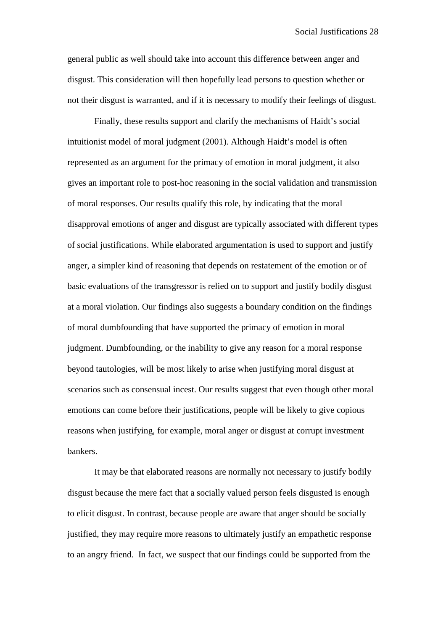general public as well should take into account this difference between anger and disgust. This consideration will then hopefully lead persons to question whether or not their disgust is warranted, and if it is necessary to modify their feelings of disgust.

Finally, these results support and clarify the mechanisms of Haidt's social intuitionist model of moral judgment (2001). Although Haidt's model is often represented as an argument for the primacy of emotion in moral judgment, it also gives an important role to post-hoc reasoning in the social validation and transmission of moral responses. Our results qualify this role, by indicating that the moral disapproval emotions of anger and disgust are typically associated with different types of social justifications. While elaborated argumentation is used to support and justify anger, a simpler kind of reasoning that depends on restatement of the emotion or of basic evaluations of the transgressor is relied on to support and justify bodily disgust at a moral violation. Our findings also suggests a boundary condition on the findings of moral dumbfounding that have supported the primacy of emotion in moral judgment. Dumbfounding, or the inability to give any reason for a moral response beyond tautologies, will be most likely to arise when justifying moral disgust at scenarios such as consensual incest. Our results suggest that even though other moral emotions can come before their justifications, people will be likely to give copious reasons when justifying, for example, moral anger or disgust at corrupt investment bankers.

It may be that elaborated reasons are normally not necessary to justify bodily disgust because the mere fact that a socially valued person feels disgusted is enough to elicit disgust. In contrast, because people are aware that anger should be socially justified, they may require more reasons to ultimately justify an empathetic response to an angry friend. In fact, we suspect that our findings could be supported from the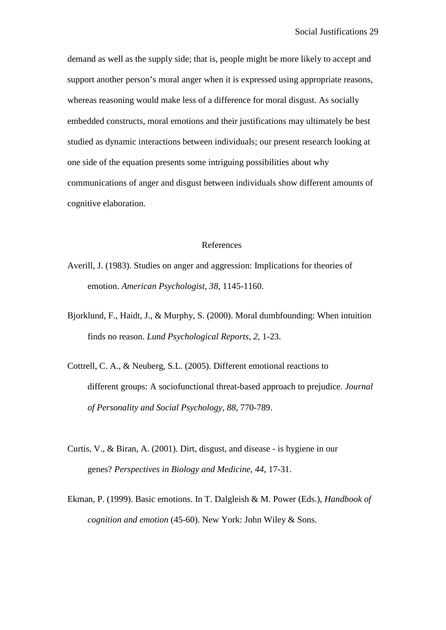demand as well as the supply side; that is, people might be more likely to accept and support another person's moral anger when it is expressed using appropriate reasons, whereas reasoning would make less of a difference for moral disgust. As socially embedded constructs, moral emotions and their justifications may ultimately be best studied as dynamic interactions between individuals; our present research looking at one side of the equation presents some intriguing possibilities about why communications of anger and disgust between individuals show different amounts of cognitive elaboration.

#### References

- Averill, J. (1983). Studies on anger and aggression: Implications for theories of emotion. *American Psychologist*, *38*, 1145-1160.
- Bjorklund, F., Haidt, J., & Murphy, S. (2000). Moral dumbfounding: When intuition finds no reason. *Lund Psychological Reports, 2,* 1-23.
- Cottrell, C. A., & Neuberg, S.L. (2005). Different emotional reactions to different groups: A sociofunctional threat-based approach to prejudice. *Journal of Personality and Social Psychology, 88,* 770-789.
- Curtis, V., & Biran, A. (2001). Dirt, disgust, and disease is hygiene in our genes? *Perspectives in Biology and Medicine, 44*, 17-31.
- Ekman, P. (1999). Basic emotions. In T. Dalgleish & M. Power (Eds.), *Handbook of cognition and emotion* (45-60). New York: John Wiley & Sons.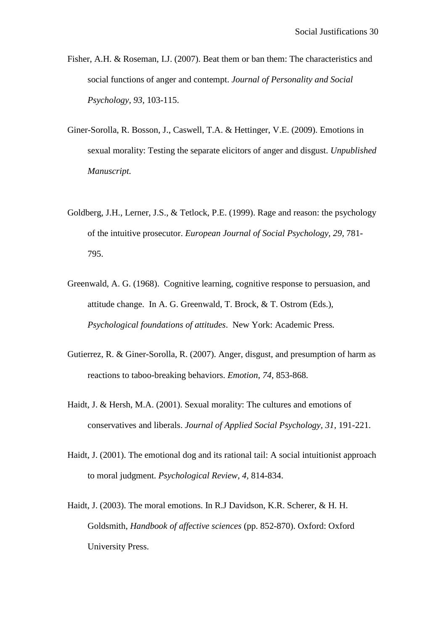- Fisher, A.H. & Roseman, I.J. (2007). Beat them or ban them: The characteristics and social functions of anger and contempt. *Journal of Personality and Social Psychology, 93,* 103-115.
- Giner-Sorolla, R. Bosson, J., Caswell, T.A. & Hettinger, V.E. (2009). Emotions in sexual morality: Testing the separate elicitors of anger and disgust. *Unpublished Manuscript.*
- Goldberg, J.H., Lerner, J.S., & Tetlock, P.E. (1999). Rage and reason: the psychology of the intuitive prosecutor. *European Journal of Social Psychology, 29,* 781- 795.
- Greenwald, A. G. (1968). Cognitive learning, cognitive response to persuasion, and attitude change. In A. G. Greenwald, T. Brock, & T. Ostrom (Eds.), *Psychological foundations of attitudes*. New York: Academic Press*.*
- Gutierrez, R. & Giner-Sorolla, R. (2007). Anger, disgust, and presumption of harm as reactions to taboo-breaking behaviors. *Emotion*, *74*, 853-868.
- Haidt, J. & Hersh, M.A. (2001). Sexual morality: The cultures and emotions of conservatives and liberals. *Journal of Applied Social Psychology, 31,* 191-221.
- Haidt, J. (2001). The emotional dog and its rational tail: A social intuitionist approach to moral judgment. *Psychological Review, 4,* 814-834.
- Haidt, J. (2003). The moral emotions. In R.J Davidson, K.R. Scherer, & H. H. Goldsmith, *Handbook of affective sciences* (pp. 852-870). Oxford: Oxford University Press.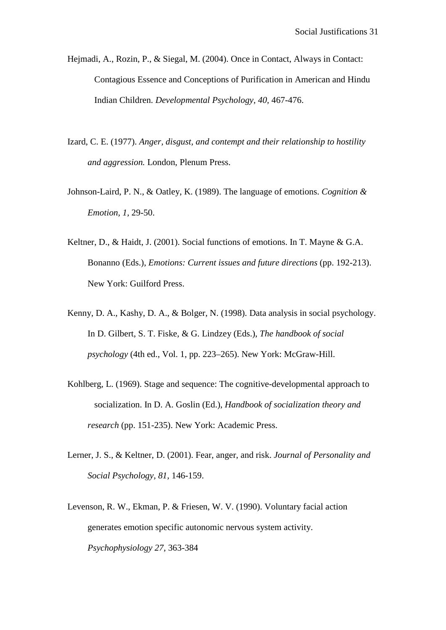- Hejmadi, A., Rozin, P., & Siegal, M. (2004). Once in Contact, Always in Contact: Contagious Essence and Conceptions of Purification in American and Hindu Indian Children. *Developmental Psychology, 40,* 467-476.
- Izard, C. E. (1977). *Anger, disgust, and contempt and their relationship to hostility and aggression.* London, Plenum Press.
- Johnson-Laird, P. N., & Oatley, K. (1989). The language of emotions. *Cognition & Emotion, 1,* 29-50.
- Keltner, D., & Haidt, J. (2001). Social functions of emotions. In T. Mayne & G.A. Bonanno (Eds.), *Emotions: Current issues and future directions* (pp. 192-213). New York: Guilford Press.
- Kenny, D. A., Kashy, D. A., & Bolger, N. (1998). Data analysis in social psychology. In D. Gilbert, S. T. Fiske, & G. Lindzey (Eds.), *The handbook of social psychology* (4th ed., Vol. 1, pp. 223–265). New York: McGraw-Hill.
- Kohlberg, L. (1969). Stage and sequence: The cognitive-developmental approach to socialization. In D. A. Goslin (Ed.), *Handbook of socialization theory and research* (pp. 151-235). New York: Academic Press.
- Lerner, J. S., & Keltner, D. (2001). Fear, anger, and risk. *Journal of Personality and Social Psychology, 81,* 146-159.
- Levenson, R. W., Ekman, P. & Friesen, W. V. (1990). Voluntary facial action generates emotion specific autonomic nervous system activity. *Psychophysiology 27,* 363-384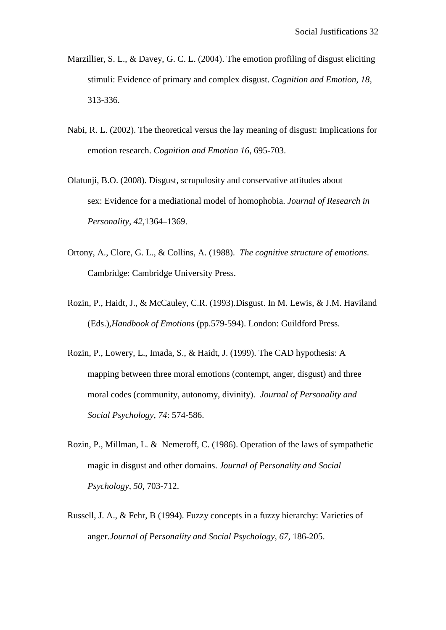- Marzillier, S. L., & Davey, G. C. L. (2004). The emotion profiling of disgust eliciting stimuli: Evidence of primary and complex disgust. *Cognition and Emotion, 18,* 313-336.
- Nabi, R. L. (2002). The theoretical versus the lay meaning of disgust: Implications for emotion research. *Cognition and Emotion 16*, 695-703.
- Olatunji, B.O. (2008). Disgust, scrupulosity and conservative attitudes about sex: Evidence for a mediational model of homophobia. *Journal of Research in Personality, 42,*1364–1369.
- Ortony, A., Clore, G. L., & Collins, A. (1988). *The cognitive structure of emotions*. Cambridge: Cambridge University Press.
- Rozin, P., Haidt, J., & McCauley, C.R. (1993).Disgust. In M. Lewis, & J.M. Haviland (Eds.),*Handbook of Emotions* (pp.579-594). London: Guildford Press.
- Rozin, P., Lowery, L., Imada, S., & Haidt, J. (1999). The CAD hypothesis: A mapping between three moral emotions (contempt, anger, disgust) and three moral codes (community, autonomy, divinity). *Journal of Personality and Social Psychology, 74*: 574-586.
- Rozin, P., Millman, L. & Nemeroff, C. (1986). Operation of the laws of sympathetic magic in disgust and other domains. *Journal of Personality and Social Psychology, 50*, 703-712.
- Russell, J. A., & Fehr, B (1994). Fuzzy concepts in a fuzzy hierarchy: Varieties of anger.*Journal of Personality and Social Psychology, 67,* 186-205.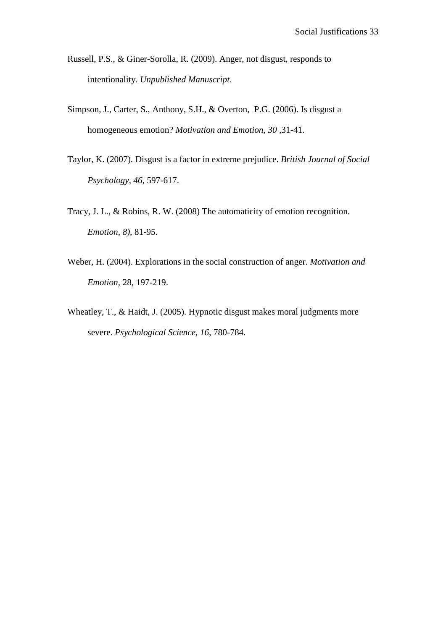- Russell, P.S., & Giner-Sorolla, R. (2009). Anger, not disgust, responds to intentionality. *Unpublished Manuscript.*
- Simpson, J., Carter, S., Anthony, S.H., & Overton, P.G. (2006). Is disgust a homogeneous emotion? *Motivation and Emotion, 30 ,*31-41.
- Taylor, K. (2007). Disgust is a factor in extreme prejudice. *British Journal of Social Psychology, 46,* 597-617.
- Tracy, J. L., & Robins, R. W. (2008) The automaticity of emotion recognition. *Emotion, 8),* 81-95.
- Weber, H. (2004). Explorations in the social construction of anger. *Motivation and Emotion,* 28, 197-219.
- Wheatley, T., & Haidt, J. (2005). Hypnotic disgust makes moral judgments more severe. *Psychological Science, 16*, 780-784.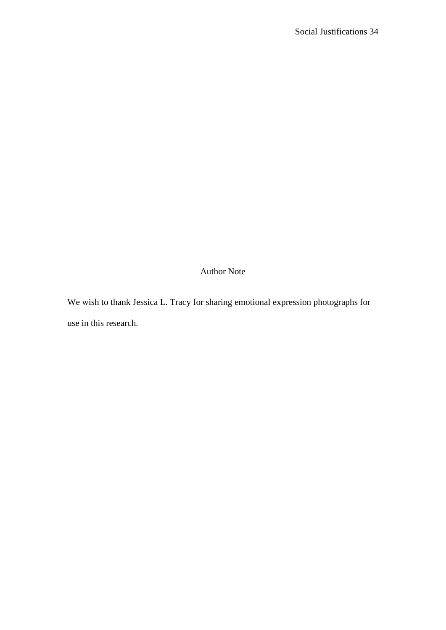Author Note

We wish to thank Jessica L. Tracy for sharing emotional expression photographs for use in this research.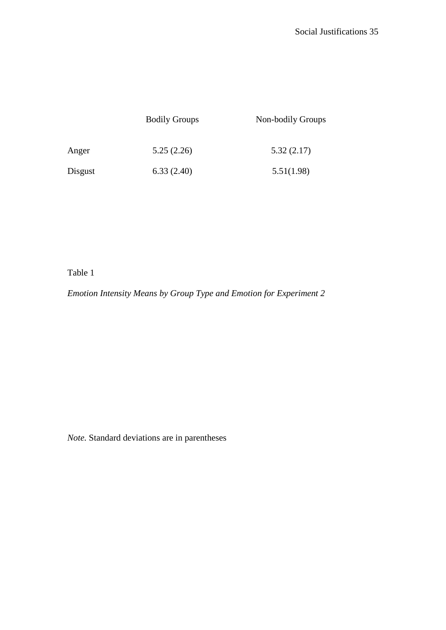|         | <b>Bodily Groups</b> | Non-bodily Groups |
|---------|----------------------|-------------------|
| Anger   | 5.25(2.26)           | 5.32(2.17)        |
| Disgust | 6.33(2.40)           | 5.51(1.98)        |

# Table 1

*Emotion Intensity Means by Group Type and Emotion for Experiment 2*

*Note.* Standard deviations are in parentheses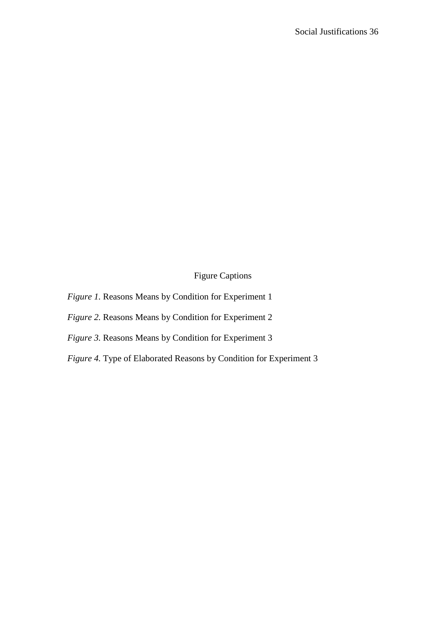Figure Captions

- *Figure 1.* Reasons Means by Condition for Experiment 1
- *Figure 2.* Reasons Means by Condition for Experiment 2
- *Figure 3.* Reasons Means by Condition for Experiment 3
- *Figure 4.* Type of Elaborated Reasons by Condition for Experiment 3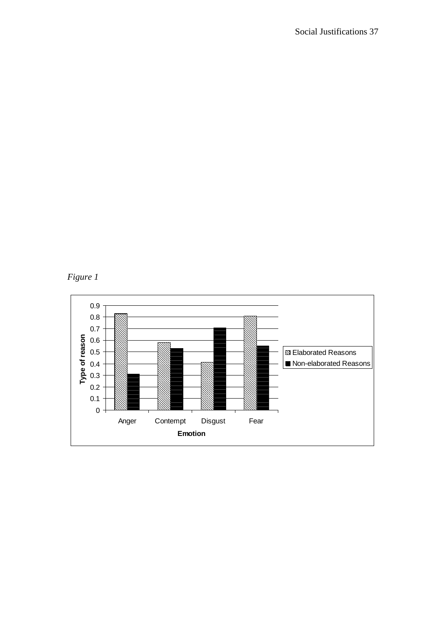*Figure 1* 

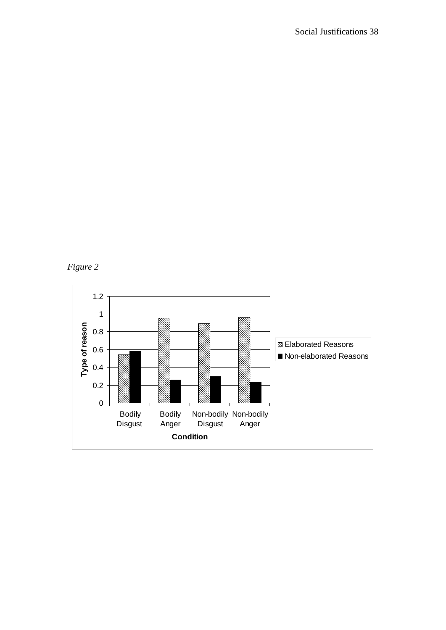

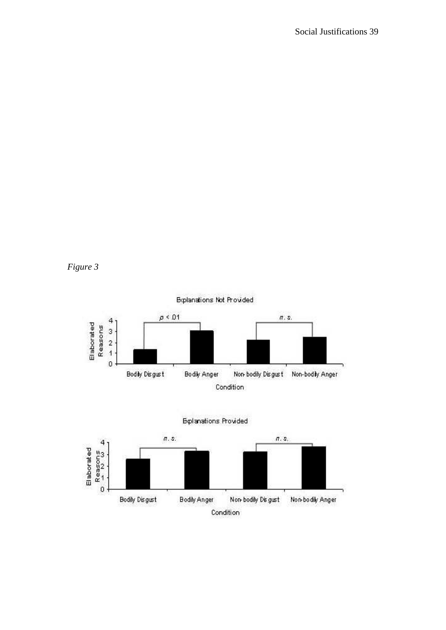

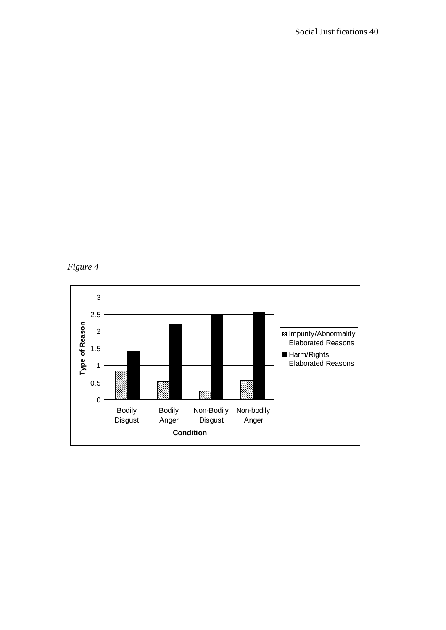*Figure 4* 

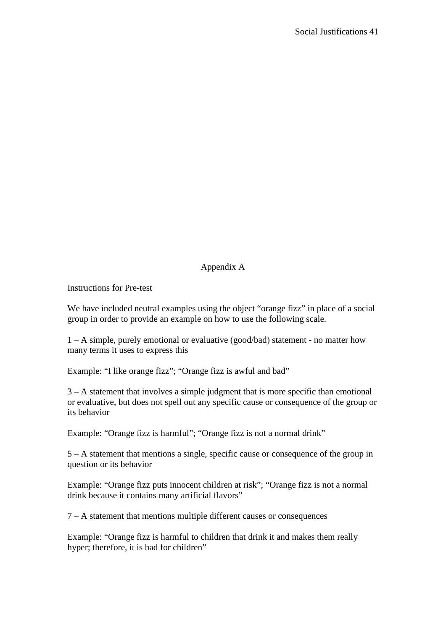# Appendix A

Instructions for Pre-test

We have included neutral examples using the object "orange fizz" in place of a social group in order to provide an example on how to use the following scale.

1 – A simple, purely emotional or evaluative (good/bad) statement - no matter how many terms it uses to express this

Example: "I like orange fizz"; "Orange fizz is awful and bad"

3 – A statement that involves a simple judgment that is more specific than emotional or evaluative, but does not spell out any specific cause or consequence of the group or its behavior

Example: "Orange fizz is harmful"; "Orange fizz is not a normal drink"

5 – A statement that mentions a single, specific cause or consequence of the group in question or its behavior

Example: "Orange fizz puts innocent children at risk"; "Orange fizz is not a normal drink because it contains many artificial flavors"

7 – A statement that mentions multiple different causes or consequences

Example: "Orange fizz is harmful to children that drink it and makes them really hyper; therefore, it is bad for children"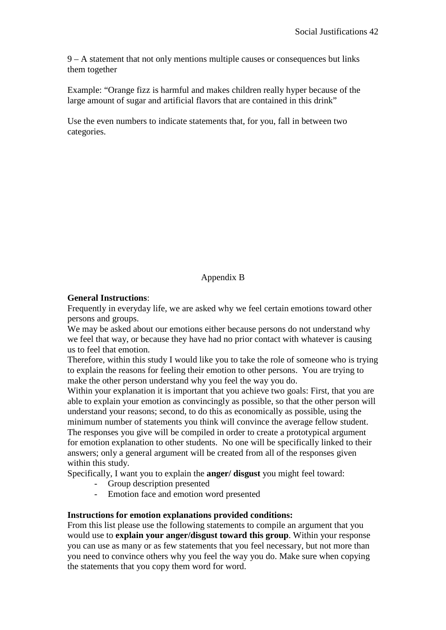9 – A statement that not only mentions multiple causes or consequences but links them together

Example: "Orange fizz is harmful and makes children really hyper because of the large amount of sugar and artificial flavors that are contained in this drink"

Use the even numbers to indicate statements that, for you, fall in between two categories.

Appendix B

# **General Instructions**:

Frequently in everyday life, we are asked why we feel certain emotions toward other persons and groups.

We may be asked about our emotions either because persons do not understand why we feel that way, or because they have had no prior contact with whatever is causing us to feel that emotion.

Therefore, within this study I would like you to take the role of someone who is trying to explain the reasons for feeling their emotion to other persons. You are trying to make the other person understand why you feel the way you do.

Within your explanation it is important that you achieve two goals: First, that you are able to explain your emotion as convincingly as possible, so that the other person will understand your reasons; second, to do this as economically as possible, using the minimum number of statements you think will convince the average fellow student. The responses you give will be compiled in order to create a prototypical argument for emotion explanation to other students. No one will be specifically linked to their answers; only a general argument will be created from all of the responses given within this study.

Specifically, I want you to explain the **anger/ disgust** you might feel toward:

- Group description presented
- Emotion face and emotion word presented

# **Instructions for emotion explanations provided conditions:**

From this list please use the following statements to compile an argument that you would use to **explain your anger/disgust toward this group**. Within your response you can use as many or as few statements that you feel necessary, but not more than you need to convince others why you feel the way you do. Make sure when copying the statements that you copy them word for word.